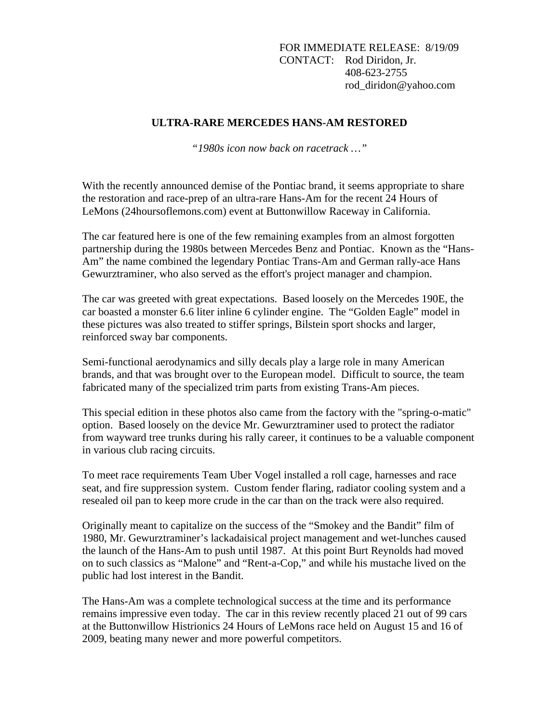FOR IMMEDIATE RELEASE: 8/19/09 CONTACT: Rod Diridon, Jr. 408-623-2755 rod\_diridon@yahoo.com

## **ULTRA-RARE MERCEDES HANS-AM RESTORED**

*"1980s icon now back on racetrack …"* 

With the recently announced demise of the Pontiac brand, it seems appropriate to share the restoration and race-prep of an ultra-rare Hans-Am for the recent 24 Hours of LeMons (24hoursoflemons.com) event at Buttonwillow Raceway in California.

The car featured here is one of the few remaining examples from an almost forgotten partnership during the 1980s between Mercedes Benz and Pontiac. Known as the "Hans-Am" the name combined the legendary Pontiac Trans-Am and German rally-ace Hans Gewurztraminer, who also served as the effort's project manager and champion.

The car was greeted with great expectations. Based loosely on the Mercedes 190E, the car boasted a monster 6.6 liter inline 6 cylinder engine. The "Golden Eagle" model in these pictures was also treated to stiffer springs, Bilstein sport shocks and larger, reinforced sway bar components.

Semi-functional aerodynamics and silly decals play a large role in many American brands, and that was brought over to the European model. Difficult to source, the team fabricated many of the specialized trim parts from existing Trans-Am pieces.

This special edition in these photos also came from the factory with the "spring-o-matic" option. Based loosely on the device Mr. Gewurztraminer used to protect the radiator from wayward tree trunks during his rally career, it continues to be a valuable component in various club racing circuits.

To meet race requirements Team Uber Vogel installed a roll cage, harnesses and race seat, and fire suppression system. Custom fender flaring, radiator cooling system and a resealed oil pan to keep more crude in the car than on the track were also required.

Originally meant to capitalize on the success of the "Smokey and the Bandit" film of 1980, Mr. Gewurztraminer's lackadaisical project management and wet-lunches caused the launch of the Hans-Am to push until 1987. At this point Burt Reynolds had moved on to such classics as "Malone" and "Rent-a-Cop," and while his mustache lived on the public had lost interest in the Bandit.

The Hans-Am was a complete technological success at the time and its performance remains impressive even today. The car in this review recently placed 21 out of 99 cars at the Buttonwillow Histrionics 24 Hours of LeMons race held on August 15 and 16 of 2009, beating many newer and more powerful competitors.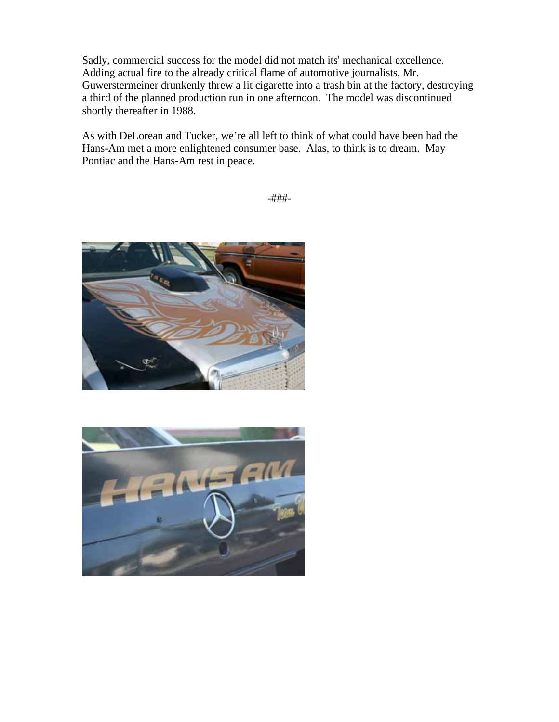Sadly, commercial success for the model did not match its' mechanical excellence. Adding actual fire to the already critical flame of automotive journalists, Mr. Guwerstermeiner drunkenly threw a lit cigarette into a trash bin at the factory, destroying a third of the planned production run in one afternoon. The model was discontinued shortly thereafter in 1988.

As with DeLorean and Tucker, we're all left to think of what could have been had the Hans-Am met a more enlightened consumer base. Alas, to think is to dream. May Pontiac and the Hans-Am rest in peace.

-###-



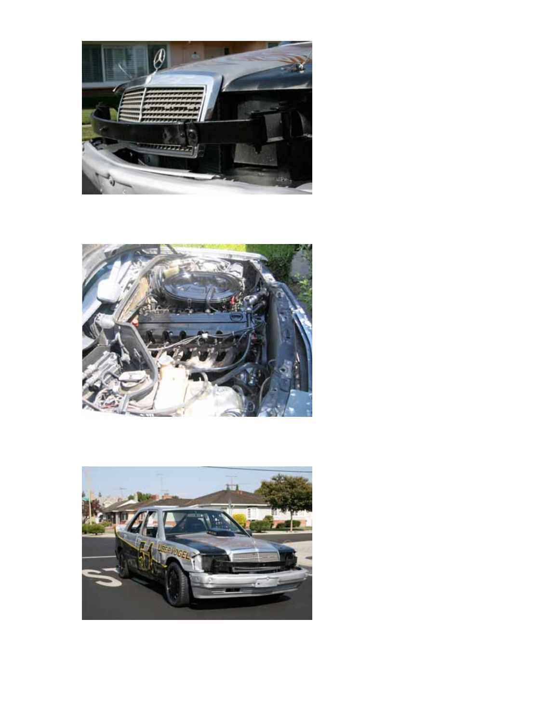

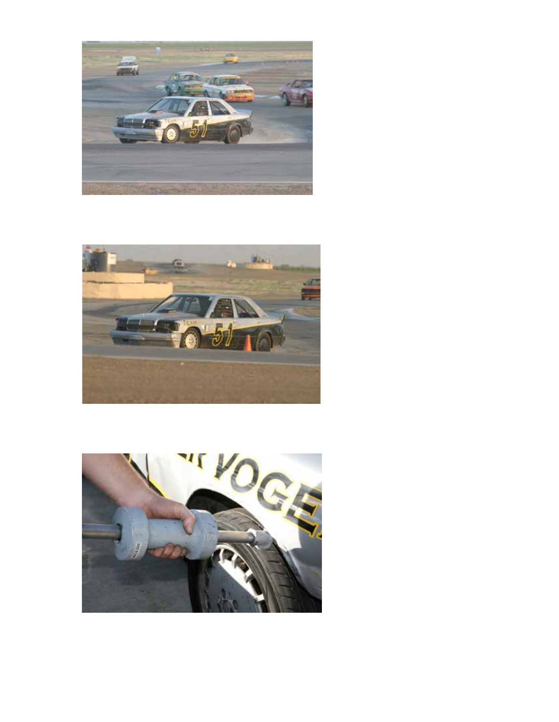